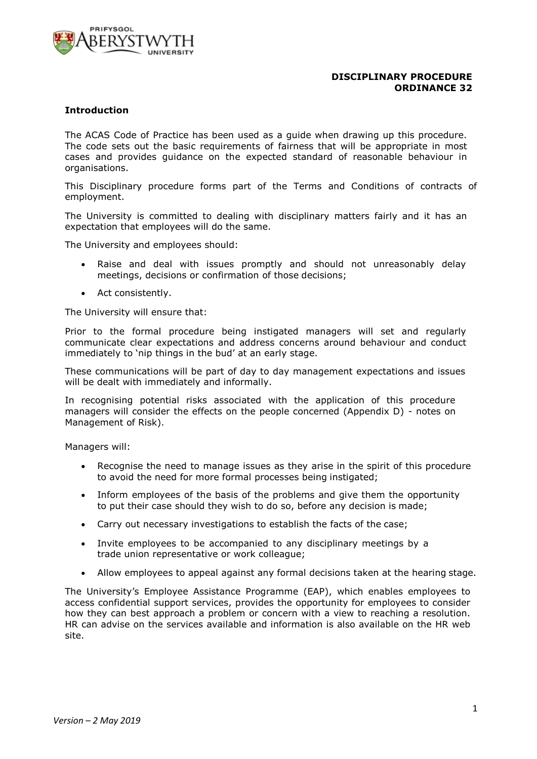

### **DISCIPLINARY PROCEDURE ORDINANCE 32**

### **Introduction**

The ACAS Code of Practice has been used as a guide when drawing up this procedure. The code sets out the basic requirements of fairness that will be appropriate in most cases and provides guidance on the expected standard of reasonable behaviour in organisations.

This Disciplinary procedure forms part of the Terms and Conditions of contracts of employment.

The University is committed to dealing with disciplinary matters fairly and it has an expectation that employees will do the same.

The University and employees should:

- Raise and deal with issues promptly and should not unreasonably delay meetings, decisions or confirmation of those decisions;
- Act consistently.

The University will ensure that:

Prior to the formal procedure being instigated managers will set and regularly communicate clear expectations and address concerns around behaviour and conduct immediately to 'nip things in the bud' at an early stage.

These communications will be part of day to day management expectations and issues will be dealt with immediately and informally.

In recognising potential risks associated with the application of this procedure managers will consider the effects on the people concerned (Appendix D) - notes on Management of Risk).

Managers will:

- Recognise the need to manage issues as they arise in the spirit of this procedure to avoid the need for more formal processes being instigated;
- Inform employees of the basis of the problems and give them the opportunity to put their case should they wish to do so, before any decision is made;
- Carry out necessary investigations to establish the facts of the case;
- Invite employees to be accompanied to any disciplinary meetings by a trade union representative or work colleague;
- Allow employees to appeal against any formal decisions taken at the hearing stage.

The University's Employee Assistance Programme (EAP), which enables employees to access confidential support services, provides the opportunity for employees to consider how they can best approach a problem or concern with a view to reaching a resolution. HR can advise on the services available and information is also available on the HR web site.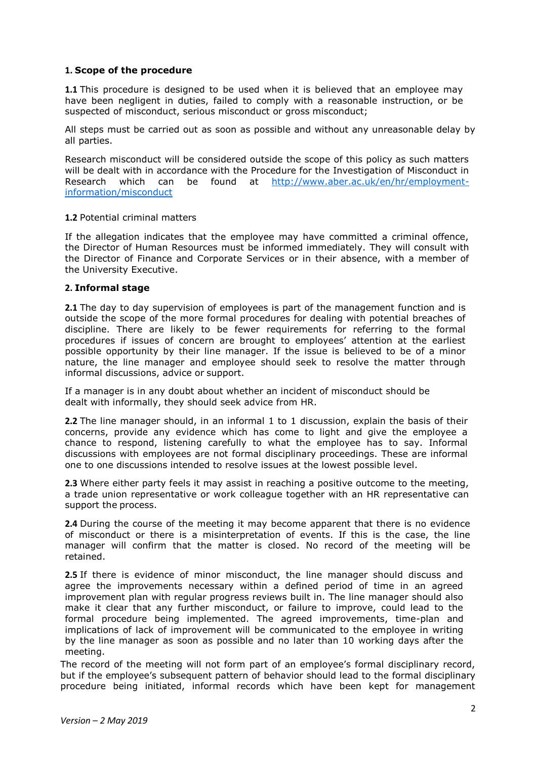### **1. Scope of the procedure**

**1.1** This procedure is designed to be used when it is believed that an employee may have been negligent in duties, failed to comply with a reasonable instruction, or be suspected of misconduct, serious misconduct or gross misconduct;

All steps must be carried out as soon as possible and without any unreasonable delay by all parties.

Research misconduct will be considered outside the scope of this policy as such matters will be dealt with in accordance with the Procedure for the Investigation of Misconduct in Research which can be found at [http://www.aber.ac.uk/en/hr/employment](http://www.aber.ac.uk/en/hr/employment-information/misconduct)[information/misconduct](http://www.aber.ac.uk/en/hr/employment-information/misconduct)

### **1.2** Potential criminal matters

If the allegation indicates that the employee may have committed a criminal offence, the Director of Human Resources must be informed immediately. They will consult with the Director of Finance and Corporate Services or in their absence, with a member of the University Executive.

### **2. Informal stage**

**2.1** The day to day supervision of employees is part of the management function and is outside the scope of the more formal procedures for dealing with potential breaches of discipline. There are likely to be fewer requirements for referring to the formal procedures if issues of concern are brought to employees' attention at the earliest possible opportunity by their line manager. If the issue is believed to be of a minor nature, the line manager and employee should seek to resolve the matter through informal discussions, advice or support.

If a manager is in any doubt about whether an incident of misconduct should be dealt with informally, they should seek advice from HR.

**2.2** The line manager should, in an informal 1 to 1 discussion, explain the basis of their concerns, provide any evidence which has come to light and give the employee a chance to respond, listening carefully to what the employee has to say. Informal discussions with employees are not formal disciplinary proceedings. These are informal one to one discussions intended to resolve issues at the lowest possible level.

**2.3** Where either party feels it may assist in reaching a positive outcome to the meeting, a trade union representative or work colleague together with an HR representative can support the process.

**2.4** During the course of the meeting it may become apparent that there is no evidence of misconduct or there is a misinterpretation of events. If this is the case, the line manager will confirm that the matter is closed. No record of the meeting will be retained.

**2.5** If there is evidence of minor misconduct, the line manager should discuss and agree the improvements necessary within a defined period of time in an agreed improvement plan with regular progress reviews built in. The line manager should also make it clear that any further misconduct, or failure to improve, could lead to the formal procedure being implemented. The agreed improvements, time-plan and implications of lack of improvement will be communicated to the employee in writing by the line manager as soon as possible and no later than 10 working days after the meeting.

The record of the meeting will not form part of an employee's formal disciplinary record, but if the employee's subsequent pattern of behavior should lead to the formal disciplinary procedure being initiated, informal records which have been kept for management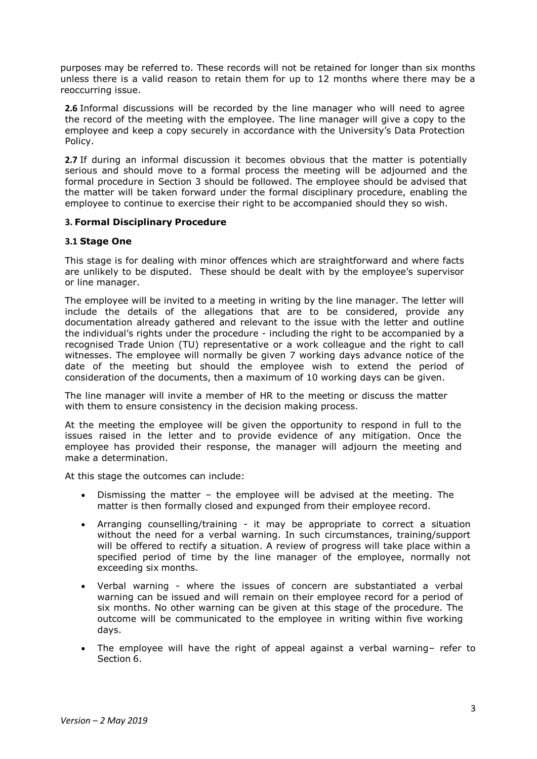purposes may be referred to. These records will not be retained for longer than six months unless there is a valid reason to retain them for up to 12 months where there may be a reoccurring issue.

**2.6** Informal discussions will be recorded by the line manager who will need to agree the record of the meeting with the employee. The line manager will give a copy to the employee and keep a copy securely in accordance with the University's Data Protection Policy.

**2.7** If during an informal discussion it becomes obvious that the matter is potentially serious and should move to a formal process the meeting will be adjourned and the formal procedure in Section 3 should be followed. The employee should be advised that the matter will be taken forward under the formal disciplinary procedure, enabling the employee to continue to exercise their right to be accompanied should they so wish.

### **3. Formal Disciplinary Procedure**

### **3.1 Stage One**

This stage is for dealing with minor offences which are straightforward and where facts are unlikely to be disputed. These should be dealt with by the employee's supervisor or line manager.

The employee will be invited to a meeting in writing by the line manager. The letter will include the details of the allegations that are to be considered, provide any documentation already gathered and relevant to the issue with the letter and outline the individual's rights under the procedure - including the right to be accompanied by a recognised Trade Union (TU) representative or a work colleague and the right to call witnesses. The employee will normally be given 7 working days advance notice of the date of the meeting but should the employee wish to extend the period of consideration of the documents, then a maximum of 10 working days can be given.

The line manager will invite a member of HR to the meeting or discuss the matter with them to ensure consistency in the decision making process.

At the meeting the employee will be given the opportunity to respond in full to the issues raised in the letter and to provide evidence of any mitigation. Once the employee has provided their response, the manager will adjourn the meeting and make a determination.

At this stage the outcomes can include:

- Dismissing the matter the employee will be advised at the meeting. The matter is then formally closed and expunged from their employee record.
- Arranging counselling/training it may be appropriate to correct a situation without the need for a verbal warning. In such circumstances, training/support will be offered to rectify a situation. A review of progress will take place within a specified period of time by the line manager of the employee, normally not exceeding six months.
- Verbal warning where the issues of concern are substantiated a verbal warning can be issued and will remain on their employee record for a period of six months. No other warning can be given at this stage of the procedure. The outcome will be communicated to the employee in writing within five working days.
- The employee will have the right of appeal against a verbal warning– refer to Section 6.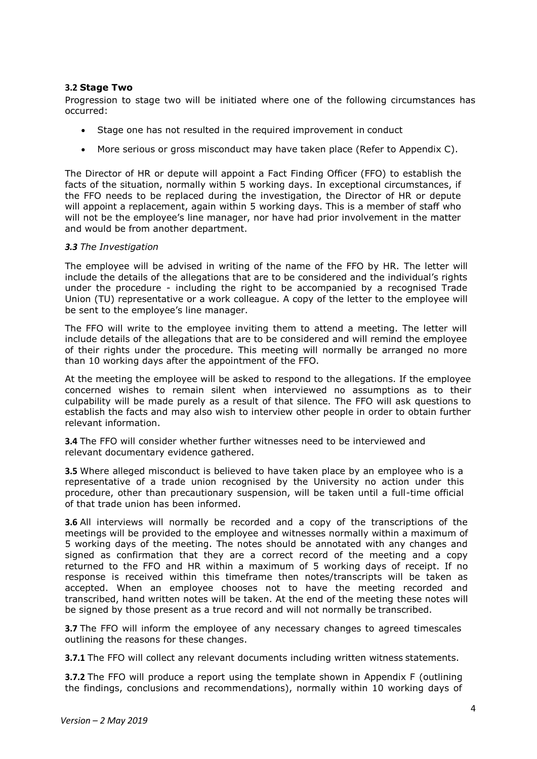### **3.2 Stage Two**

Progression to stage two will be initiated where one of the following circumstances has occurred:

- Stage one has not resulted in the required improvement in conduct
- More serious or gross misconduct may have taken place (Refer to Appendix C).

The Director of HR or depute will appoint a Fact Finding Officer (FFO) to establish the facts of the situation, normally within 5 working days. In exceptional circumstances, if the FFO needs to be replaced during the investigation, the Director of HR or depute will appoint a replacement, again within 5 working days. This is a member of staff who will not be the employee's line manager, nor have had prior involvement in the matter and would be from another department.

### *3.3 The Investigation*

The employee will be advised in writing of the name of the FFO by HR. The letter will include the details of the allegations that are to be considered and the individual's rights under the procedure - including the right to be accompanied by a recognised Trade Union (TU) representative or a work colleague. A copy of the letter to the employee will be sent to the employee's line manager.

The FFO will write to the employee inviting them to attend a meeting. The letter will include details of the allegations that are to be considered and will remind the employee of their rights under the procedure. This meeting will normally be arranged no more than 10 working days after the appointment of the FFO.

At the meeting the employee will be asked to respond to the allegations. If the employee concerned wishes to remain silent when interviewed no assumptions as to their culpability will be made purely as a result of that silence. The FFO will ask questions to establish the facts and may also wish to interview other people in order to obtain further relevant information.

**3.4** The FFO will consider whether further witnesses need to be interviewed and relevant documentary evidence gathered.

**3.5** Where alleged misconduct is believed to have taken place by an employee who is a representative of a trade union recognised by the University no action under this procedure, other than precautionary suspension, will be taken until a full-time official of that trade union has been informed.

**3.6** All interviews will normally be recorded and a copy of the transcriptions of the meetings will be provided to the employee and witnesses normally within a maximum of 5 working days of the meeting. The notes should be annotated with any changes and signed as confirmation that they are a correct record of the meeting and a copy returned to the FFO and HR within a maximum of 5 working days of receipt. If no response is received within this timeframe then notes/transcripts will be taken as accepted. When an employee chooses not to have the meeting recorded and transcribed, hand written notes will be taken. At the end of the meeting these notes will be signed by those present as a true record and will not normally be transcribed.

**3.7** The FFO will inform the employee of any necessary changes to agreed timescales outlining the reasons for these changes.

**3.7.1** The FFO will collect any relevant documents including written witness statements.

**3.7.2** The FFO will produce a report using the template shown in Appendix F (outlining the findings, conclusions and recommendations), normally within 10 working days of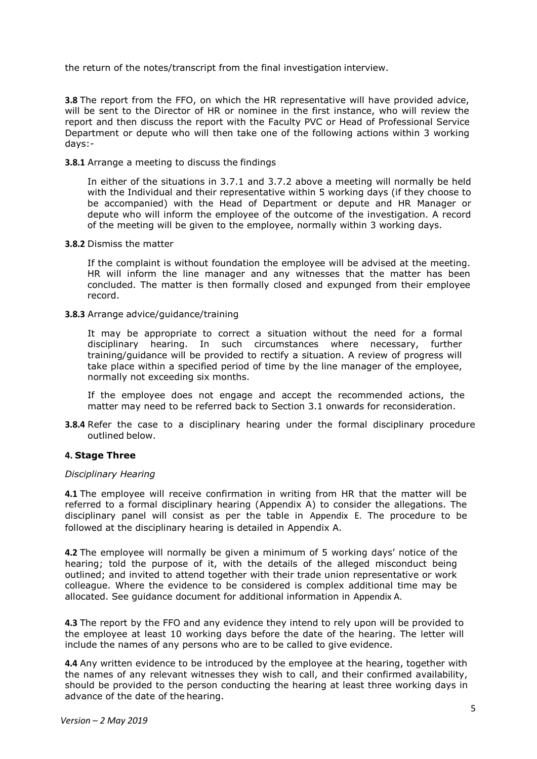the return of the notes/transcript from the final investigation interview.

**3.8** The report from the FFO, on which the HR representative will have provided advice, will be sent to the Director of HR or nominee in the first instance, who will review the report and then discuss the report with the Faculty PVC or Head of Professional Service Department or depute who will then take one of the following actions within 3 working days:-

### **3.8.1** Arrange a meeting to discuss the findings

In either of the situations in 3.7.1 and 3.7.2 above a meeting will normally be held with the Individual and their representative within 5 working days (if they choose to be accompanied) with the Head of Department or depute and HR Manager or depute who will inform the employee of the outcome of the investigation. A record of the meeting will be given to the employee, normally within 3 working days.

#### **3.8.2** Dismiss the matter

If the complaint is without foundation the employee will be advised at the meeting. HR will inform the line manager and any witnesses that the matter has been concluded. The matter is then formally closed and expunged from their employee record.

#### **3.8.3** Arrange advice/guidance/training

It may be appropriate to correct a situation without the need for a formal disciplinary hearing. In such circumstances where necessary, further training/guidance will be provided to rectify a situation. A review of progress will take place within a specified period of time by the line manager of the employee, normally not exceeding six months.

If the employee does not engage and accept the recommended actions, the matter may need to be referred back to Section 3.1 onwards for reconsideration.

**3.8.4** Refer the case to a disciplinary hearing under the formal disciplinary procedure outlined below.

### **4. Stage Three**

#### *Disciplinary Hearing*

**4.1** The employee will receive confirmation in writing from HR that the matter will be referred to a formal disciplinary hearing (Appendix A) to consider the allegations. The disciplinary panel will consist as per the table in Appendix E. The procedure to be followed at the disciplinary hearing is detailed in Appendix A.

**4.2** The employee will normally be given a minimum of 5 working days' notice of the hearing; told the purpose of it, with the details of the alleged misconduct being outlined; and invited to attend together with their trade union representative or work colleague. Where the evidence to be considered is complex additional time may be allocated. See guidance document for additional information in Appendix A.

**4.3** The report by the FFO and any evidence they intend to rely upon will be provided to the employee at least 10 working days before the date of the hearing. The letter will include the names of any persons who are to be called to give evidence.

**4.4** Any written evidence to be introduced by the employee at the hearing, together with the names of any relevant witnesses they wish to call, and their confirmed availability, should be provided to the person conducting the hearing at least three working days in advance of the date of the hearing.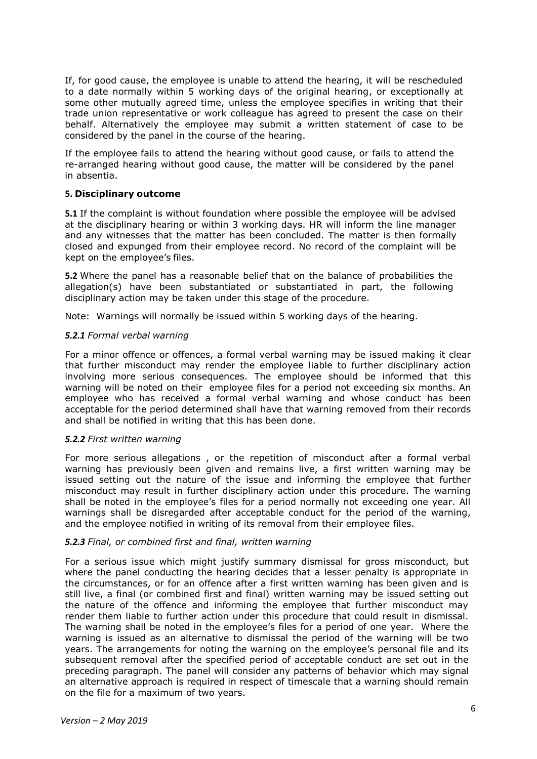If, for good cause, the employee is unable to attend the hearing, it will be rescheduled to a date normally within 5 working days of the original hearing, or exceptionally at some other mutually agreed time, unless the employee specifies in writing that their trade union representative or work colleague has agreed to present the case on their behalf. Alternatively the employee may submit a written statement of case to be considered by the panel in the course of the hearing.

If the employee fails to attend the hearing without good cause, or fails to attend the re-arranged hearing without good cause, the matter will be considered by the panel in absentia.

### **5. Disciplinary outcome**

**5.1** If the complaint is without foundation where possible the employee will be advised at the disciplinary hearing or within 3 working days. HR will inform the line manager and any witnesses that the matter has been concluded. The matter is then formally closed and expunged from their employee record. No record of the complaint will be kept on the employee's files.

**5.2** Where the panel has a reasonable belief that on the balance of probabilities the allegation(s) have been substantiated or substantiated in part, the following disciplinary action may be taken under this stage of the procedure.

Note: Warnings will normally be issued within 5 working days of the hearing.

### *5.2.1 Formal verbal warning*

For a minor offence or offences, a formal verbal warning may be issued making it clear that further misconduct may render the employee liable to further disciplinary action involving more serious consequences. The employee should be informed that this warning will be noted on their employee files for a period not exceeding six months. An employee who has received a formal verbal warning and whose conduct has been acceptable for the period determined shall have that warning removed from their records and shall be notified in writing that this has been done.

### *5.2.2 First written warning*

For more serious allegations , or the repetition of misconduct after a formal verbal warning has previously been given and remains live, a first written warning may be issued setting out the nature of the issue and informing the employee that further misconduct may result in further disciplinary action under this procedure. The warning shall be noted in the employee's files for a period normally not exceeding one year. All warnings shall be disregarded after acceptable conduct for the period of the warning, and the employee notified in writing of its removal from their employee files.

### *5.2.3 Final, or combined first and final, written warning*

For a serious issue which might justify summary dismissal for gross misconduct, but where the panel conducting the hearing decides that a lesser penalty is appropriate in the circumstances, or for an offence after a first written warning has been given and is still live, a final (or combined first and final) written warning may be issued setting out the nature of the offence and informing the employee that further misconduct may render them liable to further action under this procedure that could result in dismissal. The warning shall be noted in the employee's files for a period of one year. Where the warning is issued as an alternative to dismissal the period of the warning will be two years. The arrangements for noting the warning on the employee's personal file and its subsequent removal after the specified period of acceptable conduct are set out in the preceding paragraph. The panel will consider any patterns of behavior which may signal an alternative approach is required in respect of timescale that a warning should remain on the file for a maximum of two years.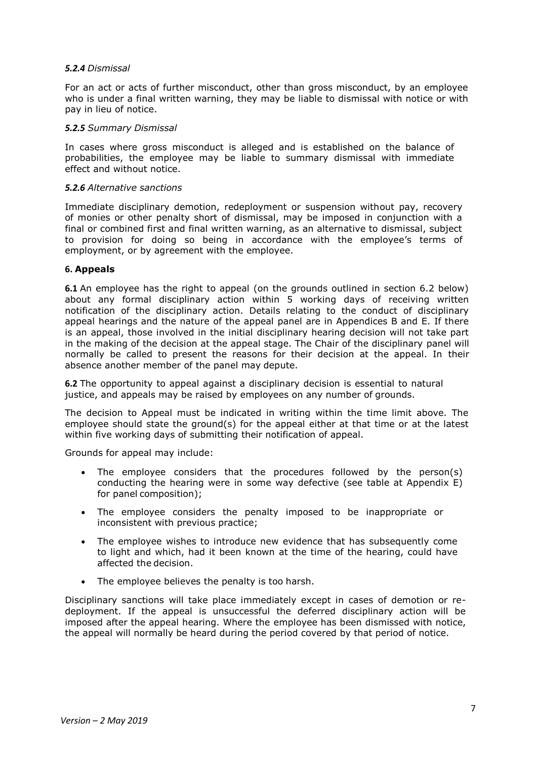### *5.2.4 Dismissal*

For an act or acts of further misconduct, other than gross misconduct, by an employee who is under a final written warning, they may be liable to dismissal with notice or with pay in lieu of notice.

### *5.2.5 Summary Dismissal*

In cases where gross misconduct is alleged and is established on the balance of probabilities, the employee may be liable to summary dismissal with immediate effect and without notice.

### *5.2.6 Alternative sanctions*

Immediate disciplinary demotion, redeployment or suspension without pay, recovery of monies or other penalty short of dismissal, may be imposed in conjunction with a final or combined first and final written warning, as an alternative to dismissal, subject to provision for doing so being in accordance with the employee's terms of employment, or by agreement with the employee.

### **6. Appeals**

**6.1** An employee has the right to appeal (on the grounds outlined in section 6.2 below) about any formal disciplinary action within 5 working days of receiving written notification of the disciplinary action. Details relating to the conduct of disciplinary appeal hearings and the nature of the appeal panel are in Appendices B and E. If there is an appeal, those involved in the initial disciplinary hearing decision will not take part in the making of the decision at the appeal stage. The Chair of the disciplinary panel will normally be called to present the reasons for their decision at the appeal. In their absence another member of the panel may depute.

**6.2** The opportunity to appeal against a disciplinary decision is essential to natural justice, and appeals may be raised by employees on any number of grounds.

The decision to Appeal must be indicated in writing within the time limit above. The employee should state the ground(s) for the appeal either at that time or at the latest within five working days of submitting their notification of appeal.

Grounds for appeal may include:

- The employee considers that the procedures followed by the person(s) conducting the hearing were in some way defective (see table at Appendix E) for panel composition);
- The employee considers the penalty imposed to be inappropriate or inconsistent with previous practice;
- The employee wishes to introduce new evidence that has subsequently come to light and which, had it been known at the time of the hearing, could have affected the decision.
- The employee believes the penalty is too harsh.

Disciplinary sanctions will take place immediately except in cases of demotion or redeployment. If the appeal is unsuccessful the deferred disciplinary action will be imposed after the appeal hearing. Where the employee has been dismissed with notice, the appeal will normally be heard during the period covered by that period of notice.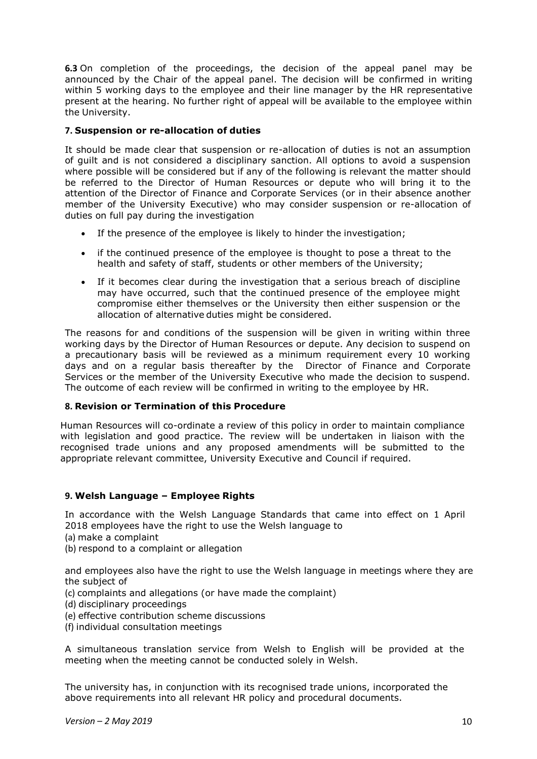**6.3** On completion of the proceedings, the decision of the appeal panel may be announced by the Chair of the appeal panel. The decision will be confirmed in writing within 5 working days to the employee and their line manager by the HR representative present at the hearing. No further right of appeal will be available to the employee within the University.

# **7. Suspension or re-allocation of duties**

It should be made clear that suspension or re-allocation of duties is not an assumption of guilt and is not considered a disciplinary sanction. All options to avoid a suspension where possible will be considered but if any of the following is relevant the matter should be referred to the Director of Human Resources or depute who will bring it to the attention of the Director of Finance and Corporate Services (or in their absence another member of the University Executive) who may consider suspension or re-allocation of duties on full pay during the investigation

- If the presence of the employee is likely to hinder the investigation;
- if the continued presence of the employee is thought to pose a threat to the health and safety of staff, students or other members of the University;
- If it becomes clear during the investigation that a serious breach of discipline may have occurred, such that the continued presence of the employee might compromise either themselves or the University then either suspension or the allocation of alternative duties might be considered.

The reasons for and conditions of the suspension will be given in writing within three working days by the Director of Human Resources or depute. Any decision to suspend on a precautionary basis will be reviewed as a minimum requirement every 10 working days and on a regular basis thereafter by the Director of Finance and Corporate Services or the member of the University Executive who made the decision to suspend. The outcome of each review will be confirmed in writing to the employee by HR.

## **8. Revision or Termination of this Procedure**

Human Resources will co-ordinate a review of this policy in order to maintain compliance with legislation and good practice. The review will be undertaken in liaison with the recognised trade unions and any proposed amendments will be submitted to the appropriate relevant committee, University Executive and Council if required.

## **9. Welsh Language – Employee Rights**

In accordance with the Welsh Language Standards that came into effect on 1 April 2018 employees have the right to use the Welsh language to

- (a) make a complaint
- (b) respond to a complaint or allegation

and employees also have the right to use the Welsh language in meetings where they are the subject of

- (c) complaints and allegations (or have made the complaint)
- (d) disciplinary proceedings
- (e) effective contribution scheme discussions
- (f) individual consultation meetings

A simultaneous translation service from Welsh to English will be provided at the meeting when the meeting cannot be conducted solely in Welsh.

The university has, in conjunction with its recognised trade unions, incorporated the above requirements into all relevant HR policy and procedural documents.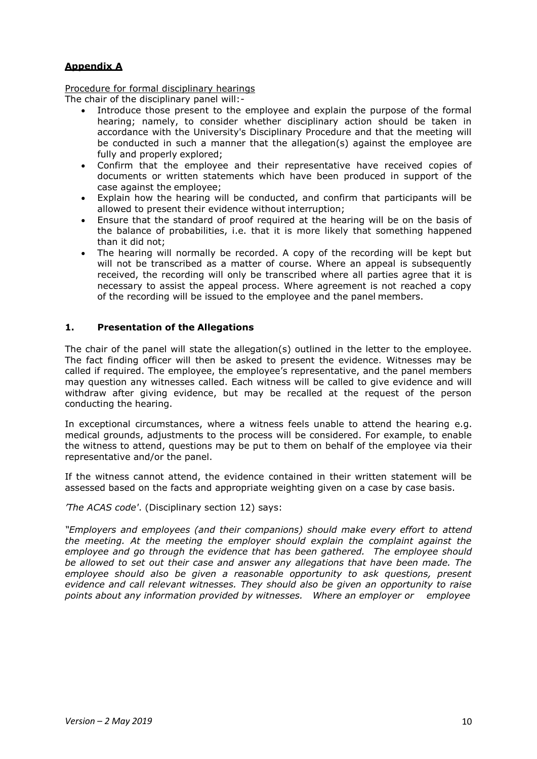# **Appendix A**

Procedure for formal disciplinary hearings

The chair of the disciplinary panel will:-

- Introduce those present to the employee and explain the purpose of the formal hearing; namely, to consider whether disciplinary action should be taken in accordance with the University's Disciplinary Procedure and that the meeting will be conducted in such a manner that the allegation(s) against the employee are fully and properly explored;
- Confirm that the employee and their representative have received copies of documents or written statements which have been produced in support of the case against the employee;
- Explain how the hearing will be conducted, and confirm that participants will be allowed to present their evidence without interruption;
- Ensure that the standard of proof required at the hearing will be on the basis of the balance of probabilities, i.e. that it is more likely that something happened than it did not;
- The hearing will normally be recorded. A copy of the recording will be kept but will not be transcribed as a matter of course. Where an appeal is subsequently received, the recording will only be transcribed where all parties agree that it is necessary to assist the appeal process. Where agreement is not reached a copy of the recording will be issued to the employee and the panel members.

## **1. Presentation of the Allegations**

The chair of the panel will state the allegation(s) outlined in the letter to the employee. The fact finding officer will then be asked to present the evidence. Witnesses may be called if required. The employee, the employee's representative, and the panel members may question any witnesses called. Each witness will be called to give evidence and will withdraw after giving evidence, but may be recalled at the request of the person conducting the hearing.

In exceptional circumstances, where a witness feels unable to attend the hearing e.g. medical grounds, adjustments to the process will be considered. For example, to enable the witness to attend, questions may be put to them on behalf of the employee via their representative and/or the panel.

If the witness cannot attend, the evidence contained in their written statement will be assessed based on the facts and appropriate weighting given on a case by case basis.

*'The ACAS code'*. (Disciplinary section 12) says:

*"Employers and employees (and their companions) should make every effort to attend the meeting. At the meeting the employer should explain the complaint against the employee and go through the evidence that has been gathered. The employee should be allowed to set out their case and answer any allegations that have been made. The employee should also be given a reasonable opportunity to ask questions, present evidence and call relevant witnesses. They should also be given an opportunity to raise points about any information provided by witnesses. Where an employer or employee*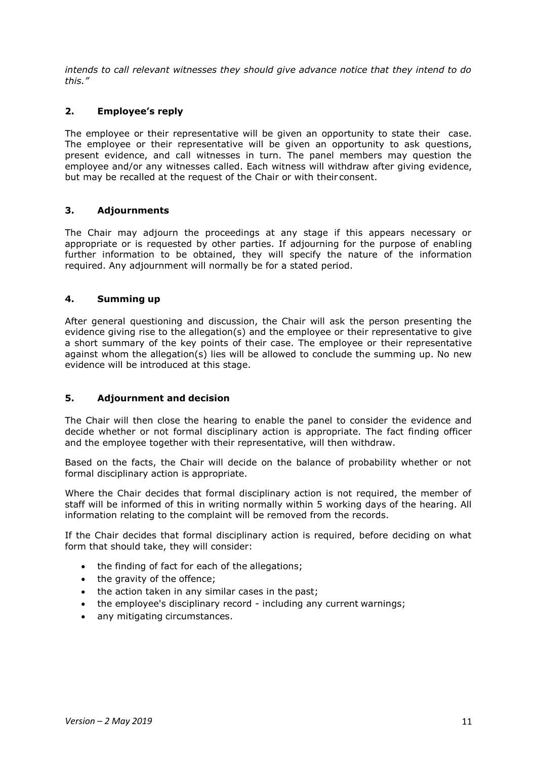*intends to call relevant witnesses they should give advance notice that they intend to do this."*

## **2. Employee's reply**

The employee or their representative will be given an opportunity to state their case. The employee or their representative will be given an opportunity to ask questions, present evidence, and call witnesses in turn. The panel members may question the employee and/or any witnesses called. Each witness will withdraw after giving evidence, but may be recalled at the request of the Chair or with their consent.

## **3. Adjournments**

The Chair may adjourn the proceedings at any stage if this appears necessary or appropriate or is requested by other parties. If adjourning for the purpose of enabling further information to be obtained, they will specify the nature of the information required. Any adjournment will normally be for a stated period.

# **4. Summing up**

After general questioning and discussion, the Chair will ask the person presenting the evidence giving rise to the allegation(s) and the employee or their representative to give a short summary of the key points of their case. The employee or their representative against whom the allegation(s) lies will be allowed to conclude the summing up. No new evidence will be introduced at this stage.

## **5. Adjournment and decision**

The Chair will then close the hearing to enable the panel to consider the evidence and decide whether or not formal disciplinary action is appropriate. The fact finding officer and the employee together with their representative, will then withdraw.

Based on the facts, the Chair will decide on the balance of probability whether or not formal disciplinary action is appropriate.

Where the Chair decides that formal disciplinary action is not required, the member of staff will be informed of this in writing normally within 5 working days of the hearing. All information relating to the complaint will be removed from the records.

If the Chair decides that formal disciplinary action is required, before deciding on what form that should take, they will consider:

- the finding of fact for each of the allegations;
- the gravity of the offence;
- the action taken in any similar cases in the past;
- the employee's disciplinary record including any current warnings;
- any mitigating circumstances.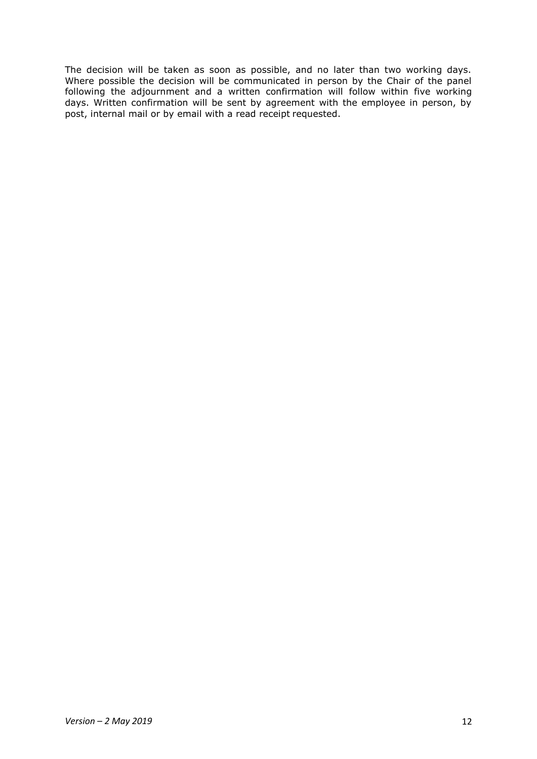The decision will be taken as soon as possible, and no later than two working days. Where possible the decision will be communicated in person by the Chair of the panel following the adjournment and a written confirmation will follow within five working days. Written confirmation will be sent by agreement with the employee in person, by post, internal mail or by email with a read receipt requested.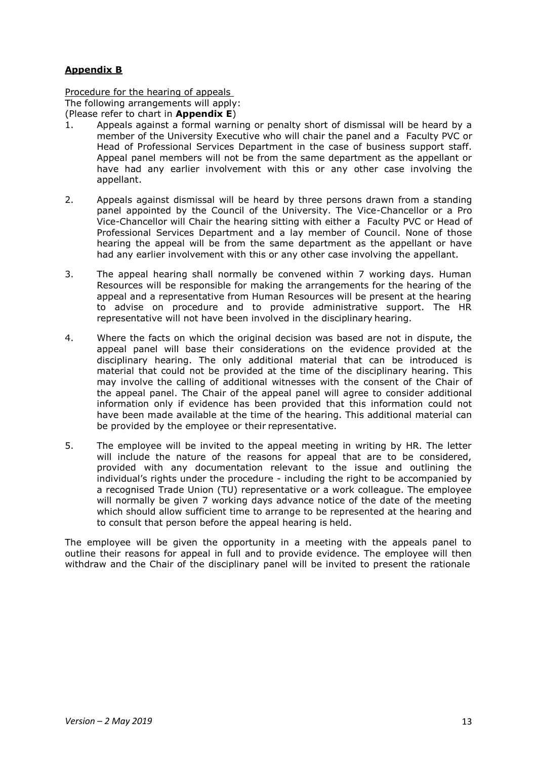# **Appendix B**

Procedure for the hearing of appeals The following arrangements will apply: (Please refer to chart in **Appendix E**)

- 1. Appeals against a formal warning or penalty short of dismissal will be heard by a member of the University Executive who will chair the panel and a Faculty PVC or Head of Professional Services Department in the case of business support staff. Appeal panel members will not be from the same department as the appellant or have had any earlier involvement with this or any other case involving the appellant.
- 2. Appeals against dismissal will be heard by three persons drawn from a standing panel appointed by the Council of the University. The Vice-Chancellor or a Pro Vice-Chancellor will Chair the hearing sitting with either a Faculty PVC or Head of Professional Services Department and a lay member of Council. None of those hearing the appeal will be from the same department as the appellant or have had any earlier involvement with this or any other case involving the appellant.
- 3. The appeal hearing shall normally be convened within 7 working days. Human Resources will be responsible for making the arrangements for the hearing of the appeal and a representative from Human Resources will be present at the hearing to advise on procedure and to provide administrative support. The HR representative will not have been involved in the disciplinary hearing.
- 4. Where the facts on which the original decision was based are not in dispute, the appeal panel will base their considerations on the evidence provided at the disciplinary hearing. The only additional material that can be introduced is material that could not be provided at the time of the disciplinary hearing. This may involve the calling of additional witnesses with the consent of the Chair of the appeal panel. The Chair of the appeal panel will agree to consider additional information only if evidence has been provided that this information could not have been made available at the time of the hearing. This additional material can be provided by the employee or their representative.
- 5. The employee will be invited to the appeal meeting in writing by HR. The letter will include the nature of the reasons for appeal that are to be considered, provided with any documentation relevant to the issue and outlining the individual's rights under the procedure - including the right to be accompanied by a recognised Trade Union (TU) representative or a work colleague. The employee will normally be given 7 working days advance notice of the date of the meeting which should allow sufficient time to arrange to be represented at the hearing and to consult that person before the appeal hearing is held.

The employee will be given the opportunity in a meeting with the appeals panel to outline their reasons for appeal in full and to provide evidence. The employee will then withdraw and the Chair of the disciplinary panel will be invited to present the rationale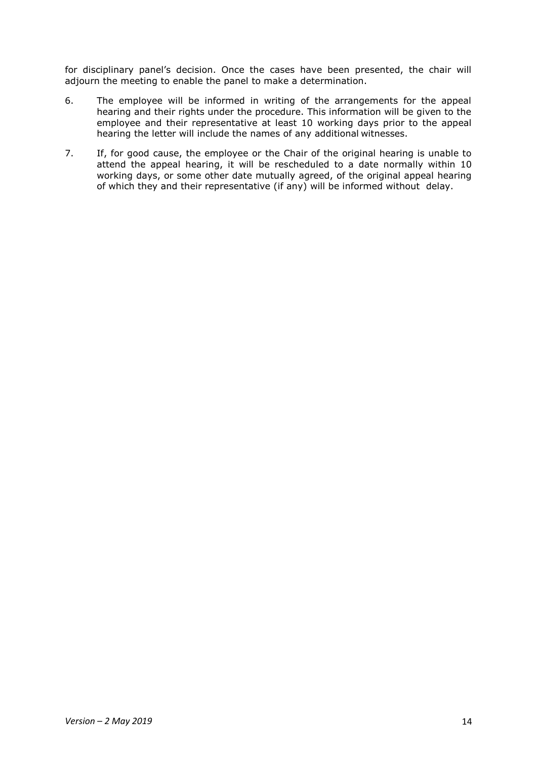for disciplinary panel's decision. Once the cases have been presented, the chair will adjourn the meeting to enable the panel to make a determination.

- 6. The employee will be informed in writing of the arrangements for the appeal hearing and their rights under the procedure. This information will be given to the employee and their representative at least 10 working days prior to the appeal hearing the letter will include the names of any additional witnesses.
- 7. If, for good cause, the employee or the Chair of the original hearing is unable to attend the appeal hearing, it will be rescheduled to a date normally within 10 working days, or some other date mutually agreed, of the original appeal hearing of which they and their representative (if any) will be informed without delay.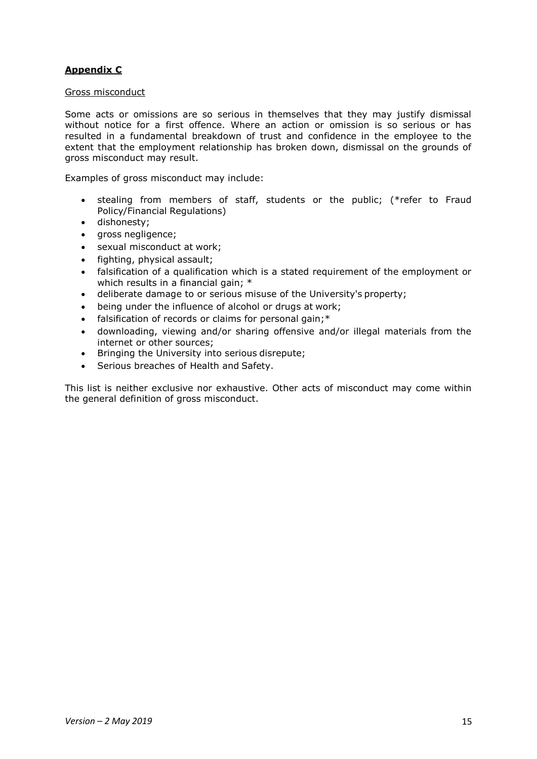# **Appendix C**

### Gross misconduct

Some acts or omissions are so serious in themselves that they may justify dismissal without notice for a first offence. Where an action or omission is so serious or has resulted in a fundamental breakdown of trust and confidence in the employee to the extent that the employment relationship has broken down, dismissal on the grounds of gross misconduct may result.

Examples of gross misconduct may include:

- stealing from members of staff, students or the public; (\*refer to Fraud Policy/Financial Regulations)
- dishonesty;
- gross negligence;
- sexual misconduct at work;
- fighting, physical assault;
- falsification of a qualification which is a stated requirement of the employment or which results in a financial gain; \*
- deliberate damage to or serious misuse of the University's property;
- being under the influence of alcohol or drugs at work;
- falsification of records or claims for personal gain;\*
- downloading, viewing and/or sharing offensive and/or illegal materials from the internet or other sources;
- Bringing the University into serious disrepute;
- Serious breaches of Health and Safety.

This list is neither exclusive nor exhaustive. Other acts of misconduct may come within the general definition of gross misconduct.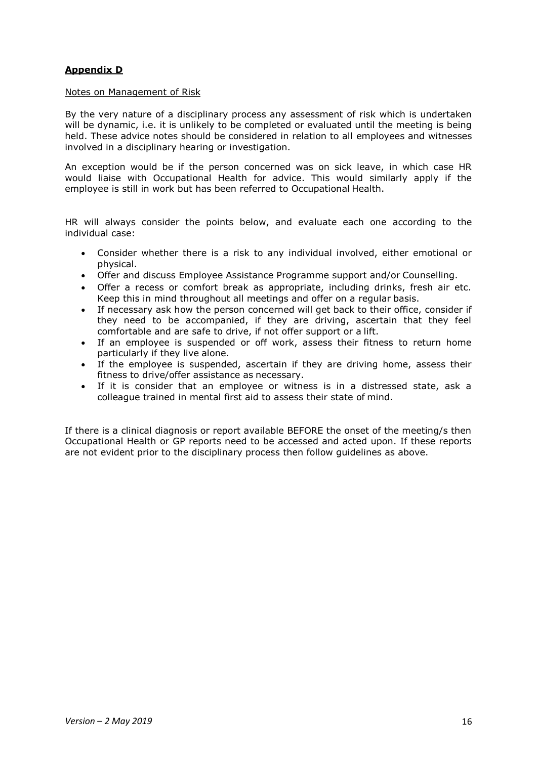# **Appendix D**

#### Notes on Management of Risk

By the very nature of a disciplinary process any assessment of risk which is undertaken will be dynamic, i.e. it is unlikely to be completed or evaluated until the meeting is being held. These advice notes should be considered in relation to all employees and witnesses involved in a disciplinary hearing or investigation.

An exception would be if the person concerned was on sick leave, in which case HR would liaise with Occupational Health for advice. This would similarly apply if the employee is still in work but has been referred to Occupational Health.

HR will always consider the points below, and evaluate each one according to the individual case:

- Consider whether there is a risk to any individual involved, either emotional or physical.
- Offer and discuss Employee Assistance Programme support and/or Counselling.
- Offer a recess or comfort break as appropriate, including drinks, fresh air etc. Keep this in mind throughout all meetings and offer on a regular basis.
- If necessary ask how the person concerned will get back to their office, consider if they need to be accompanied, if they are driving, ascertain that they feel comfortable and are safe to drive, if not offer support or a lift.
- If an employee is suspended or off work, assess their fitness to return home particularly if they live alone.
- If the employee is suspended, ascertain if they are driving home, assess their fitness to drive/offer assistance as necessary.
- If it is consider that an employee or witness is in a distressed state, ask a colleague trained in mental first aid to assess their state of mind.

If there is a clinical diagnosis or report available BEFORE the onset of the meeting/s then Occupational Health or GP reports need to be accessed and acted upon. If these reports are not evident prior to the disciplinary process then follow guidelines as above.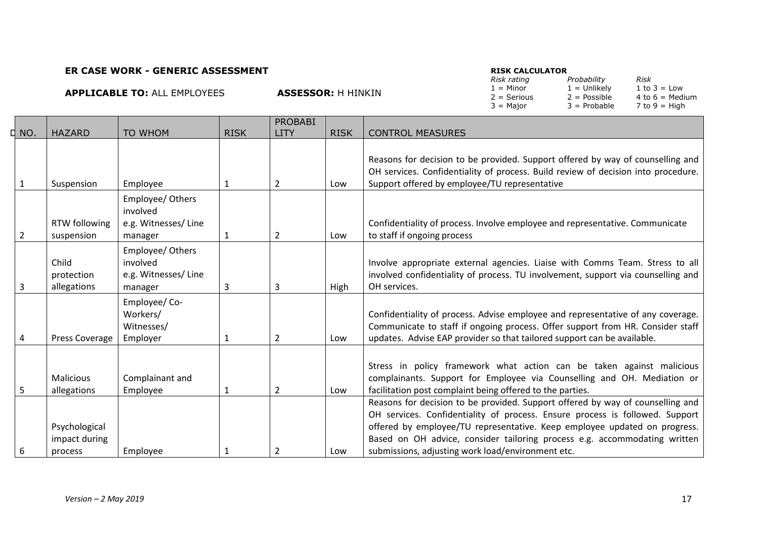### **ER CASE WORK - GENERIC ASSESSMENT**

### **RISK CALCULATOR**

**ASSESSOR: H HINKIN** 

| <b>KIJN CALCULATUN</b> |                |                   |
|------------------------|----------------|-------------------|
| Risk rating            | Probability    | Risk              |
| $1 =$ Minor            | $1 =$ Unlikely | 1 to $3 =$ Low    |
| $2 =$ Serious          | $2 = Possible$ | 4 to $6 =$ Medium |
| $3 =$ Major            | $3$ = Probable | $7$ to $9 =$ High |
|                        |                |                   |

| D NO. | <b>HAZARD</b>                             | <b>TO WHOM</b>                                                 | <b>RISK</b> | <b>PROBABI</b><br>LITY | <b>RISK</b> | <b>CONTROL MEASURES</b>                                                                                                                                                                                                                                                                                                                                                       |
|-------|-------------------------------------------|----------------------------------------------------------------|-------------|------------------------|-------------|-------------------------------------------------------------------------------------------------------------------------------------------------------------------------------------------------------------------------------------------------------------------------------------------------------------------------------------------------------------------------------|
|       |                                           |                                                                |             |                        |             |                                                                                                                                                                                                                                                                                                                                                                               |
|       | Suspension                                | Employee                                                       | 1           | $\overline{2}$         | Low         | Reasons for decision to be provided. Support offered by way of counselling and<br>OH services. Confidentiality of process. Build review of decision into procedure.<br>Support offered by employee/TU representative                                                                                                                                                          |
| 2     | RTW following<br>suspension               | Employee/ Others<br>involved<br>e.g. Witnesses/Line<br>manager | 1           | $\overline{2}$         | Low         | Confidentiality of process. Involve employee and representative. Communicate<br>to staff if ongoing process                                                                                                                                                                                                                                                                   |
|       | Child<br>protection<br>allegations        | Employee/ Others<br>involved<br>e.g. Witnesses/Line<br>manager | 3           | 3                      | High        | Involve appropriate external agencies. Liaise with Comms Team. Stress to all<br>involved confidentiality of process. TU involvement, support via counselling and<br>OH services.                                                                                                                                                                                              |
| 4     | Press Coverage                            | Employee/Co-<br>Workers/<br>Witnesses/<br>Employer             | 1           | $\overline{2}$         | Low         | Confidentiality of process. Advise employee and representative of any coverage.<br>Communicate to staff if ongoing process. Offer support from HR. Consider staff<br>updates. Advise EAP provider so that tailored support can be available.                                                                                                                                  |
| 5     | <b>Malicious</b><br>allegations           | Complainant and<br>Employee                                    | 1           | $\overline{2}$         | Low         | Stress in policy framework what action can be taken against malicious<br>complainants. Support for Employee via Counselling and OH. Mediation or<br>facilitation post complaint being offered to the parties.                                                                                                                                                                 |
|       | Psychological<br>impact during<br>process | Employee                                                       |             | 2                      | Low         | Reasons for decision to be provided. Support offered by way of counselling and<br>OH services. Confidentiality of process. Ensure process is followed. Support<br>offered by employee/TU representative. Keep employee updated on progress.<br>Based on OH advice, consider tailoring process e.g. accommodating written<br>submissions, adjusting work load/environment etc. |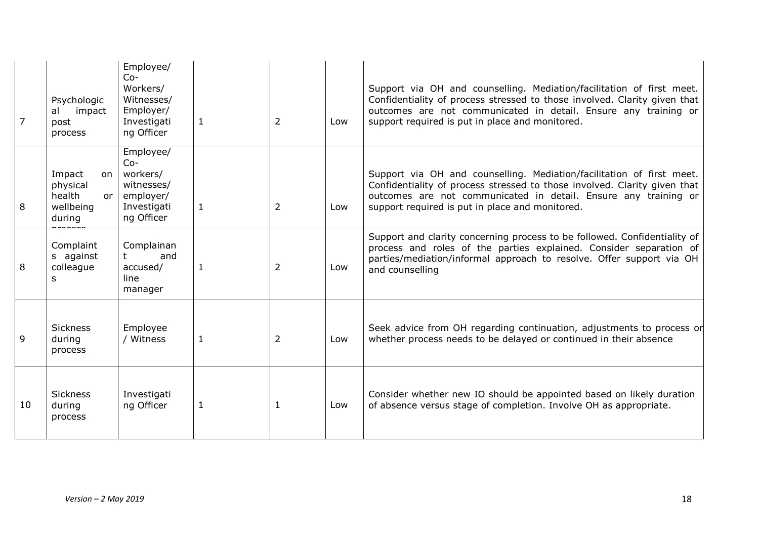|    | Psychologic<br>impact<br>al<br>post<br>process                   | Employee/<br>$Co-$<br>Workers/<br>Witnesses/<br>Employer/<br>Investigati<br>ng Officer | 1            | $\overline{2}$ | Low | Support via OH and counselling. Mediation/facilitation of first meet.<br>Confidentiality of process stressed to those involved. Clarity given that<br>outcomes are not communicated in detail. Ensure any training or<br>support required is put in place and monitored. |
|----|------------------------------------------------------------------|----------------------------------------------------------------------------------------|--------------|----------------|-----|--------------------------------------------------------------------------------------------------------------------------------------------------------------------------------------------------------------------------------------------------------------------------|
| 8  | Impact<br>on<br>physical<br>health<br>or.<br>wellbeing<br>during | Employee/<br>$Co-$<br>workers/<br>witnesses/<br>employer/<br>Investigati<br>ng Officer | $\mathbf{1}$ | 2              | Low | Support via OH and counselling. Mediation/facilitation of first meet.<br>Confidentiality of process stressed to those involved. Clarity given that<br>outcomes are not communicated in detail. Ensure any training or<br>support required is put in place and monitored. |
| 8  | Complaint<br>s against<br>colleague<br>s                         | Complainan<br>$^{\dagger}$<br>and<br>accused/<br>line<br>manager                       | 1            | 2              | Low | Support and clarity concerning process to be followed. Confidentiality of<br>process and roles of the parties explained. Consider separation of<br>parties/mediation/informal approach to resolve. Offer support via OH<br>and counselling                               |
| 9  | <b>Sickness</b><br>during<br>process                             | Employee<br>/ Witness                                                                  | 1            | 2              | Low | Seek advice from OH regarding continuation, adjustments to process or<br>whether process needs to be delayed or continued in their absence                                                                                                                               |
| 10 | <b>Sickness</b><br>during<br>process                             | Investigati<br>ng Officer                                                              | $\mathbf{1}$ |                | Low | Consider whether new IO should be appointed based on likely duration<br>of absence versus stage of completion. Involve OH as appropriate.                                                                                                                                |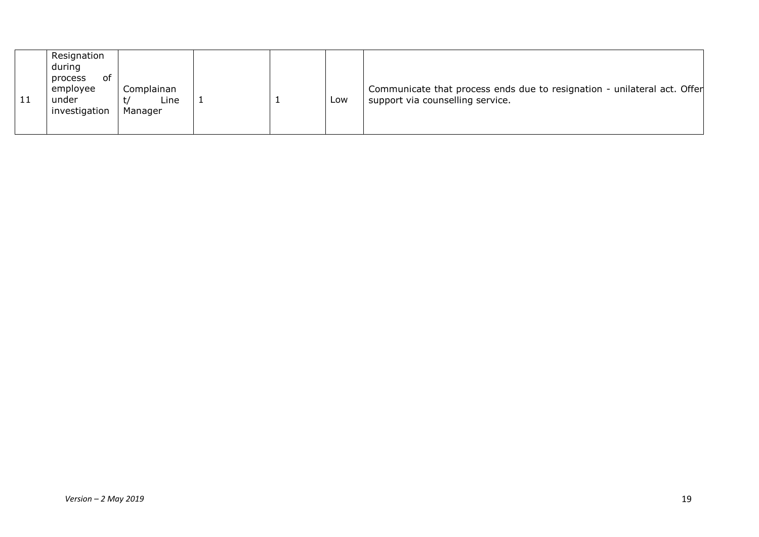|  | Resignation<br>during<br>process<br>of<br>employee<br>under<br>investigation | Complainan<br>Line<br>Manager |  |  | Low | Communicate that process ends due to resignation - unilateral act. Offer<br>support via counselling service. |
|--|------------------------------------------------------------------------------|-------------------------------|--|--|-----|--------------------------------------------------------------------------------------------------------------|
|--|------------------------------------------------------------------------------|-------------------------------|--|--|-----|--------------------------------------------------------------------------------------------------------------|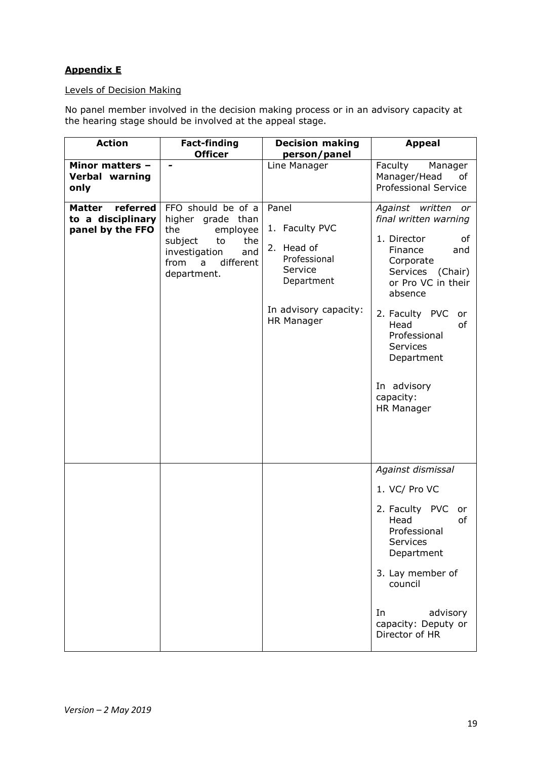# **Appendix E**

### Levels of Decision Making

No panel member involved in the decision making process or in an advisory capacity at the hearing stage should be involved at the appeal stage.

| <b>Action</b>                                                      | <b>Fact-finding</b><br><b>Officer</b>                                                                                                               | <b>Decision making</b><br>person/panel                                                                                       | <b>Appeal</b>                                                                                                                                                                                                                                                                         |
|--------------------------------------------------------------------|-----------------------------------------------------------------------------------------------------------------------------------------------------|------------------------------------------------------------------------------------------------------------------------------|---------------------------------------------------------------------------------------------------------------------------------------------------------------------------------------------------------------------------------------------------------------------------------------|
| Minor matters -<br>Verbal warning<br>only                          |                                                                                                                                                     | Line Manager                                                                                                                 | Faculty<br>Manager<br>Manager/Head<br>оf<br><b>Professional Service</b>                                                                                                                                                                                                               |
| referred<br><b>Matter</b><br>to a disciplinary<br>panel by the FFO | FFO should be of a<br>higher grade than<br>the<br>employee<br>subject<br>the<br>to<br>investigation<br>and<br>from<br>a<br>different<br>department. | Panel<br>1. Faculty PVC<br>2. Head of<br>Professional<br>Service<br>Department<br>In advisory capacity:<br><b>HR Manager</b> | Against written or<br>final written warning<br>1. Director<br>οf<br>Finance<br>and<br>Corporate<br>Services (Chair)<br>or Pro VC in their<br>absence<br>2. Faculty PVC<br>or<br>Head<br>of<br>Professional<br>Services<br>Department<br>In advisory<br>capacity:<br><b>HR Manager</b> |
|                                                                    |                                                                                                                                                     |                                                                                                                              | Against dismissal<br>1. VC/ Pro VC<br>2. Faculty PVC<br>or<br>Head<br>of<br>Professional<br>Services<br>Department<br>3. Lay member of<br>council<br>In<br>advisory<br>capacity: Deputy or<br>Director of HR                                                                          |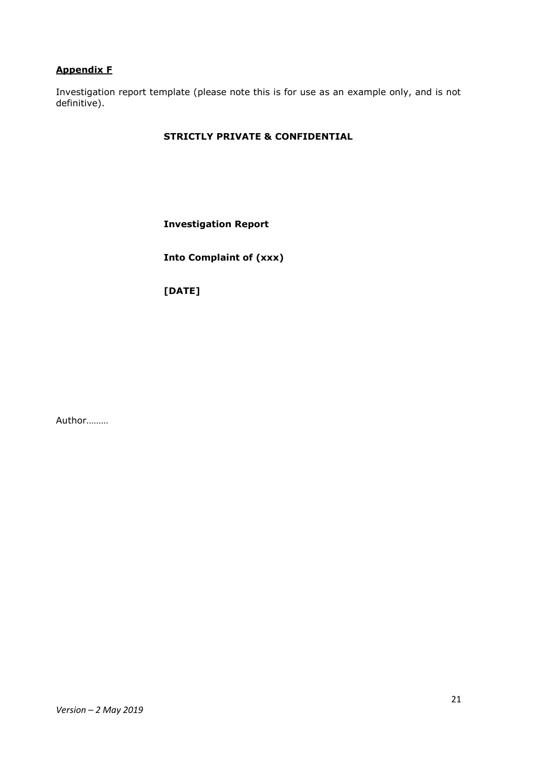## **Appendix F**

Investigation report template (please note this is for use as an example only, and is not definitive).

# **STRICTLY PRIVATE & CONFIDENTIAL**

**Investigation Report**

**Into Complaint of (xxx)**

**[DATE]**

Author………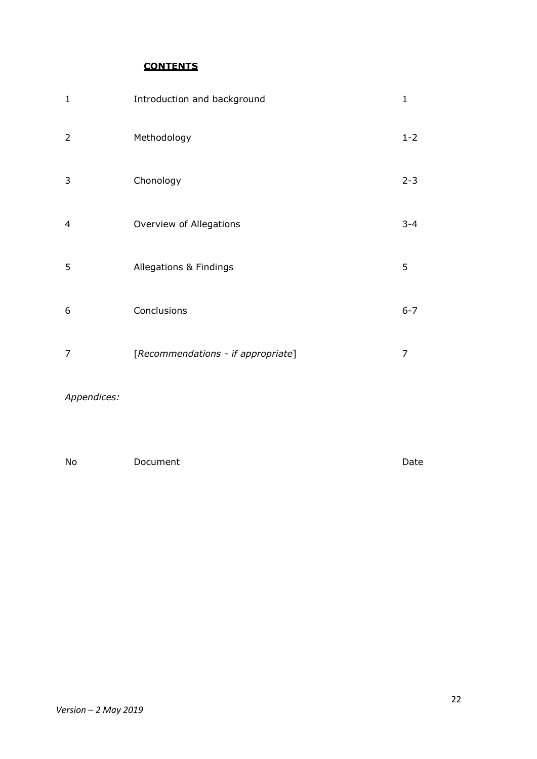**CONTENTS**

| 1 | Introduction and background        | $\mathbf{1}$ |
|---|------------------------------------|--------------|
| 2 | Methodology                        | $1 - 2$      |
| 3 | Chonology                          | $2 - 3$      |
| 4 | Overview of Allegations            | $3 - 4$      |
| 5 | Allegations & Findings             | 5            |
| 6 | Conclusions                        | $6 - 7$      |
| 7 | [Recommendations - if appropriate] | 7            |
|   |                                    |              |

# *Appendices:*

No Document Document Date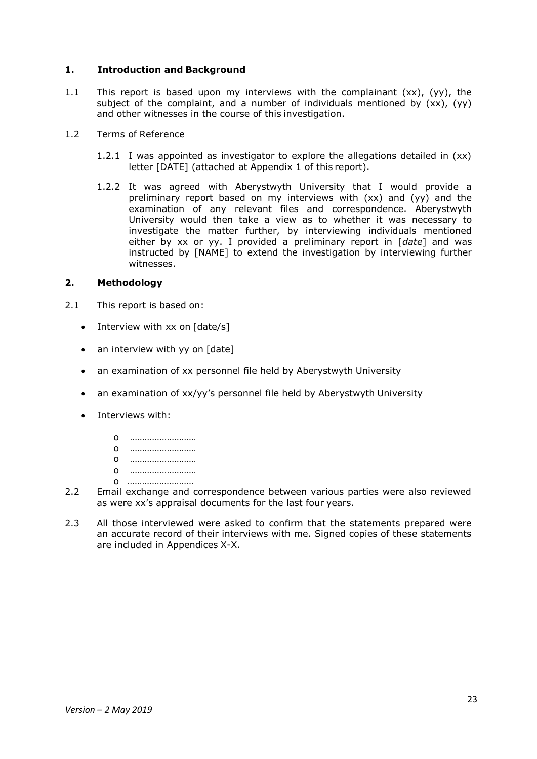### **1. Introduction and Background**

- 1.1 This report is based upon my interviews with the complainant  $(xx)$ ,  $(yy)$ , the subject of the complaint, and a number of individuals mentioned by (xx), (yy) and other witnesses in the course of this investigation.
- 1.2 Terms of Reference
	- 1.2.1 I was appointed as investigator to explore the allegations detailed in (xx) letter [DATE] (attached at Appendix 1 of this report).
	- 1.2.2 It was agreed with Aberystwyth University that I would provide a preliminary report based on my interviews with (xx) and (yy) and the examination of any relevant files and correspondence. Aberystwyth University would then take a view as to whether it was necessary to investigate the matter further, by interviewing individuals mentioned either by xx or yy. I provided a preliminary report in [*date*] and was instructed by [NAME] to extend the investigation by interviewing further witnesses.

### **2. Methodology**

- 2.1 This report is based on:
	- Interview with xx on [date/s]
	- an interview with yy on [date]
	- an examination of xx personnel file held by Aberystwyth University
	- an examination of xx/yy's personnel file held by Aberystwyth University
	- Interviews with:
		- o ……………………… o ……………………… o ……………………… o ……………………… o ………………………
- 2.2 Email exchange and correspondence between various parties were also reviewed as were xx's appraisal documents for the last four years.
- 2.3 All those interviewed were asked to confirm that the statements prepared were an accurate record of their interviews with me. Signed copies of these statements are included in Appendices X-X.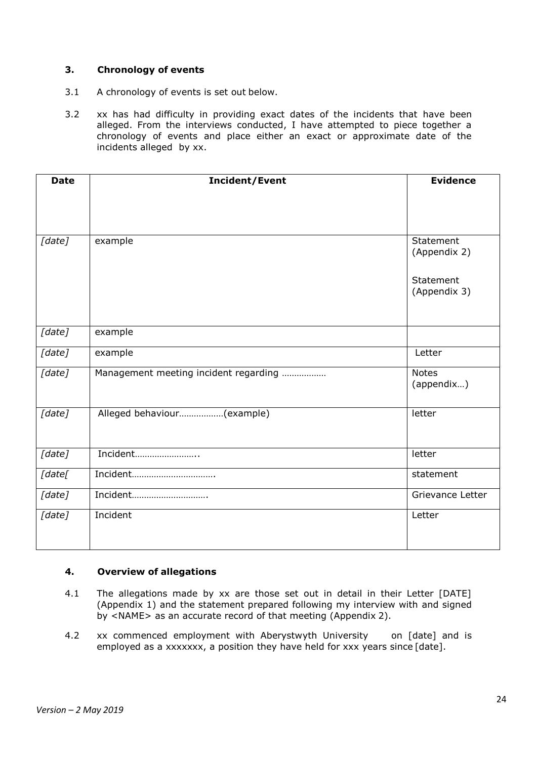## **3. Chronology of events**

- 3.1 A chronology of events is set out below.
- 3.2 xx has had difficulty in providing exact dates of the incidents that have been alleged. From the interviews conducted, I have attempted to piece together a chronology of events and place either an exact or approximate date of the incidents alleged by xx.

| <b>Date</b> | Incident/Event                        | <b>Evidence</b>            |
|-------------|---------------------------------------|----------------------------|
|             |                                       |                            |
|             |                                       |                            |
|             |                                       |                            |
| [date]      | example                               | Statement<br>(Appendix 2)  |
|             |                                       | Statement<br>(Appendix 3)  |
|             |                                       |                            |
| [date]      | example                               |                            |
| [date]      | example                               | Letter                     |
| [date]      | Management meeting incident regarding | <b>Notes</b><br>(appendix) |
| [date]      | Alleged behaviour(example)            | letter                     |
| [date]      | Incident                              | letter                     |
| [date[      | Incident                              | statement                  |
| [date]      | Incident                              | Grievance Letter           |
| [date]      | Incident                              | Letter                     |

### **4. Overview of allegations**

- 4.1 The allegations made by xx are those set out in detail in their Letter [DATE] (Appendix 1) and the statement prepared following my interview with and signed by <NAME> as an accurate record of that meeting (Appendix 2).
- 4.2 xx commenced employment with Aberystwyth University on [date] and is employed as a xxxxxxx, a position they have held for xxx years since [date].